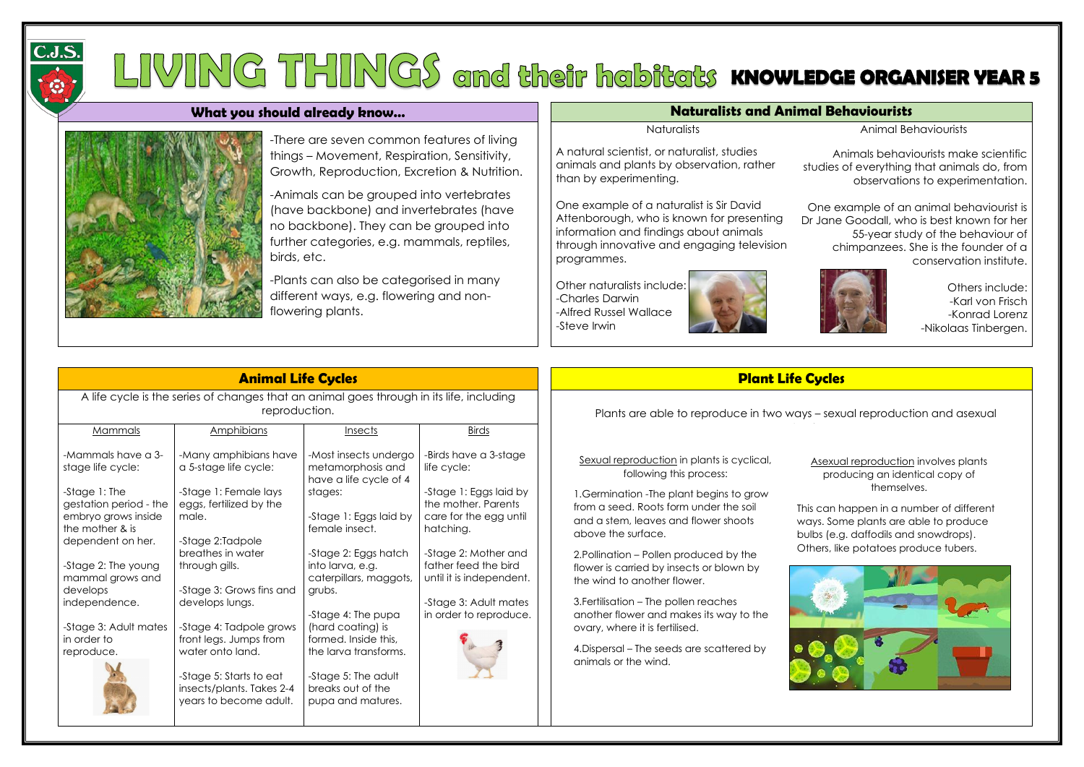

## LIVING THINGS and their habitats knowledge organiser year s

## **What you should already know...** Naturalists and Animal Behaviourists and Animal Behaviourists



A natural scientist, or naturalist, studies animals and plants by observation, rather than by experimenting.

One example of a naturalist is Sir David Attenborough, who is known for presenting information and findings about animals through innovative and engaging television programmes.

Other naturalists include: -Charles Darwin -Alfred Russel Wallace -Steve Irwin



Animal Behaviourists

Animals behaviourists make scientific studies of everything that animals do, from observations to experimentation.

One example of an animal behaviourist is Dr Jane Goodall, who is best known for her 55-year study of the behaviour of chimpanzees. She is the founder of a conservation institute.



Others include: -Karl von Frisch -Konrad Lorenz -Nikolaas Tinbergen.

## **Animal Life Cycles Plant Life Cycles**

is can happen in a number of different ways. Some plants are able to produce bulbs (e.g. daffodils and snowdrops).

| <b>Animal Life Cycles</b>                                                                                 |                                                                                |                                                                      |                                                 |  |  |  |  |  |
|-----------------------------------------------------------------------------------------------------------|--------------------------------------------------------------------------------|----------------------------------------------------------------------|-------------------------------------------------|--|--|--|--|--|
| A life cycle is the series of changes that an animal goes through in its life, including<br>reproduction. |                                                                                |                                                                      |                                                 |  |  |  |  |  |
| Mammals                                                                                                   | Amphibians                                                                     | Insects                                                              | <b>Birds</b>                                    |  |  |  |  |  |
| -Mammals have a 3-<br>stage life cycle:                                                                   | -Many amphibians have<br>a 5-stage life cycle:                                 | -Most insects undergo<br>metamorphosis and<br>have a life cycle of 4 | -Birds have a 3-stage<br>life cycle:            |  |  |  |  |  |
| -Stage 1: The<br>gestation period - the                                                                   | -Stage 1: Female lays<br>eggs, fertilized by the                               | stages:                                                              | -Stage 1: Eggs laid by<br>the mother. Parents   |  |  |  |  |  |
| embryo grows inside<br>the mother & is<br>dependent on her.                                               | male.<br>-Stage 2:Tadpole                                                      | -Stage 1: Eggs laid by<br>female insect.                             | care for the egg until<br>hatching.             |  |  |  |  |  |
| -Stage 2: The young<br>mammal grows and                                                                   | breathes in water<br>through gills.                                            | -Stage 2: Eggs hatch<br>into larva, e.g.<br>caterpillars, maggots,   |                                                 |  |  |  |  |  |
| develops<br>independence.                                                                                 | -Stage 3: Grows fins and<br>develops lungs.                                    | grubs.<br>-Stage 4: The pupa                                         | -Stage 3: Adult mates<br>in order to reproduce. |  |  |  |  |  |
| -Stage 3: Adult mates<br>in order to<br>reproduce.                                                        | -Stage 4: Tadpole grows<br>front legs. Jumps from<br>water onto land.          | (hard coating) is<br>formed. Inside this,<br>the larva transforms.   |                                                 |  |  |  |  |  |
|                                                                                                           | -Stage 5: Starts to eat<br>insects/plants. Takes 2-4<br>years to become adult. | -Stage 5: The adult<br>breaks out of the<br>pupa and matures.        |                                                 |  |  |  |  |  |

Plants are able to reproduce in two ways – sexual reproduction and asexual

-There are seven common features of living things – Movement, Respiration, Sensitivity, Growth, Reproduction, Excretion & Nutrition.

-Animals can be grouped into vertebrates (have backbone) and invertebrates (have no backbone). They can be grouped into further categories, e.g. mammals, reptiles, birds, etc.

-Plants can also be categorised in many different ways, e.g. flowering and nonflowering plants.

they live in. Both natural and man-made

**Naturalists** 

| Sexual reproduction in plants is cyclical, |      |
|--------------------------------------------|------|
| following this process:                    |      |
| 1. Germination - The plant begins to grow  |      |
| from a seed. Roots form under the soil     | Thi: |
| and a stam logues and flourar shoots       |      |

and a stem, leaves and flower shoots above the surface.

2.Pollination – Pollen produced by the flower is carried by insects or blown by the wind to another flower.

3.Fertilisation – The pollen reaches another flower and makes its way to the ovary, where it is fertilised.

4.Dispersal – The seeds are scattered by animals or the wind.

Asexual reproduction involves plants producing an identical copy of themselves.